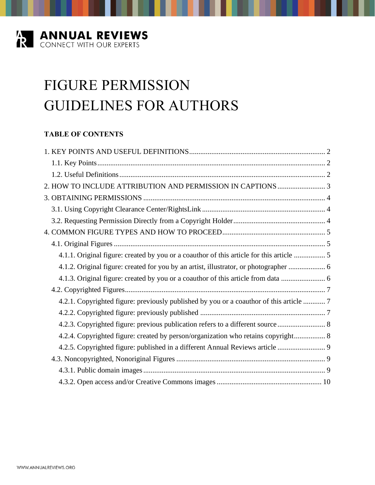

# FIGURE PERMISSION GUIDELINES FOR AUTHORS

# **TABLE OF CONTENTS**

|  | 4.1.1. Original figure: created by you or a coauthor of this article for this article  5 |  |
|--|------------------------------------------------------------------------------------------|--|
|  | 4.1.2. Original figure: created for you by an artist, illustrator, or photographer  6    |  |
|  | 4.1.3. Original figure: created by you or a coauthor of this article from data           |  |
|  |                                                                                          |  |
|  | 4.2.1. Copyrighted figure: previously published by you or a coauthor of this article  7  |  |
|  |                                                                                          |  |
|  | 4.2.3. Copyrighted figure: previous publication refers to a different source  8          |  |
|  | 4.2.4. Copyrighted figure: created by person/organization who retains copyright 8        |  |
|  | 4.2.5. Copyrighted figure: published in a different Annual Reviews article               |  |
|  |                                                                                          |  |
|  |                                                                                          |  |
|  |                                                                                          |  |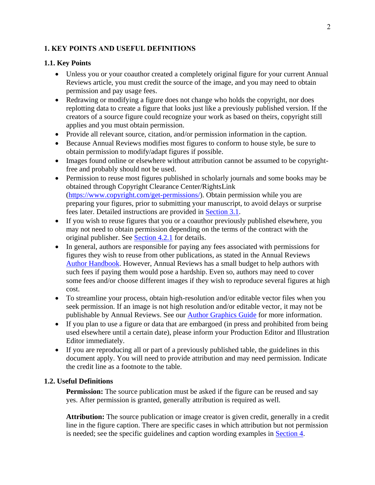### <span id="page-1-0"></span>**1. KEY POINTS AND USEFUL DEFINITIONS**

#### <span id="page-1-1"></span>**1.1. Key Points**

- Unless you or your coauthor created a completely original figure for your current Annual Reviews article, you must credit the source of the image, and you may need to obtain permission and pay usage fees.
- Redrawing or modifying a figure does not change who holds the copyright, nor does replotting data to create a figure that looks just like a previously published version. If the creators of a source figure could recognize your work as based on theirs, copyright still applies and you must obtain permission.
- Provide all relevant source, citation, and/or permission information in the caption.
- Because Annual Reviews modifies most figures to conform to house style, be sure to obtain permission to modify/adapt figures if possible.
- Images found online or elsewhere without attribution cannot be assumed to be copyrightfree and probably should not be used.
- Permission to reuse most figures published in scholarly journals and some books may be obtained through Copyright Clearance Center/RightsLink [\(https://www.copyright.com/get-permissions/\)](https://www.copyright.com/get-permissions/). Obtain permission while you are preparing your figures, prior to submitting your manuscript, to avoid delays or surprise fees later. Detailed instructions are provided in [Section 3.1.](#page-3-1)
- If you wish to reuse figures that you or a coauthor previously published elsewhere, you may not need to obtain permission depending on the terms of the contract with the original publisher. See [Section 4.2.1](#page-6-1) for details.
- In general, authors are responsible for paying any fees associated with permissions for figures they wish to reuse from other publications, as stated in the Annual Reviews [Author Handbook.](https://www.annualreviews.org/page/authors/general-information) However, Annual Reviews has a small budget to help authors with such fees if paying them would pose a hardship. Even so, authors may need to cover some fees and/or choose different images if they wish to reproduce several figures at high cost.
- To streamline your process, obtain high-resolution and/or editable vector files when you seek permission. If an image is not high resolution and/or editable vector, it may not be publishable by Annual Reviews. See our [Author Graphics Guide](http://www.annualreviews.org/pb-assets/Authors%20Assets/AR-Graphics-Guide.pdf) for more information.
- If you plan to use a figure or data that are embargoed (in press and prohibited from being used elsewhere until a certain date), please inform your Production Editor and Illustration Editor immediately.
- If you are reproducing all or part of a previously published table, the guidelines in this document apply. You will need to provide attribution and may need permission. Indicate the credit line as a footnote to the table.

#### <span id="page-1-2"></span>**1.2. Useful Definitions**

**Permission:** The source publication must be asked if the figure can be reused and say yes. After permission is granted, generally attribution is required as well.

**Attribution:** The source publication or image creator is given credit, generally in a credit line in the figure caption. There are specific cases in which attribution but not permission is needed; see the specific guidelines and caption wording examples in **Section 4**.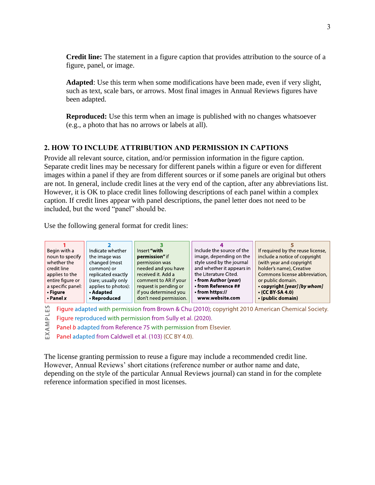**Credit line:** The statement in a figure caption that provides attribution to the source of a figure, panel, or image.

**Adapted**: Use this term when some modifications have been made, even if very slight, such as text, scale bars, or arrows. Most final images in Annual Reviews figures have been adapted.

**Reproduced:** Use this term when an image is published with no changes whatsoever (e.g., a photo that has no arrows or labels at all).

# <span id="page-2-0"></span>**2. HOW TO INCLUDE ATTRIBUTION AND PERMISSION IN CAPTIONS**

Provide all relevant source, citation, and/or permission information in the figure caption. Separate credit lines may be necessary for different panels within a figure or even for different images within a panel if they are from different sources or if some panels are original but others are not. In general, include credit lines at the very end of the caption, after any abbreviations list. However, it is OK to place credit lines following descriptions of each panel within a complex caption. If credit lines appear with panel descriptions, the panel letter does not need to be included, but the word "panel" should be.

Use the following general format for credit lines:

| Begin with a      | Indicate whether    | Insert "with           | Include the source of the | If required by the reuse license, |
|-------------------|---------------------|------------------------|---------------------------|-----------------------------------|
| noun to specify   | the image was       | permission" if         | image, depending on the   | include a notice of copyright     |
| whether the       | changed (most       | permission was         | style used by the journal | (with year and copyright          |
| credit line       | common) or          | needed and you have    | and whether it appears in | holder's name), Creative          |
| applies to the    | replicated exactly  | received it. Add a     | the Literature Cited.     | Commons license abbreviation,     |
| entire figure or  | (rare; usually only | comment to AR if your  | • from Author (year)      | or public domain.                 |
| a specific panel: | applies to photos): | request is pending or  | • from Reference ##       | • copyright [year] [by whom]      |
| • Figure          | • Adapted           | if you determined you  | • from https://           | $\cdot$ (CC BY-SA 4.0)            |
| $\cdot$ Panel $x$ | • Reproduced        | don't need permission. | www.website.com           | • (public domain)                 |

Figure adapted with permission from Brown & Chu (2010); copyright 2010 American Chemical Society. EXAMPLES

Figure reproduced with permission from Sully et al. (2020).

Panel b adapted from Reference 75 with permission from Elsevier.

Panel adapted from Caldwell et al. (103) (CC BY 4.0).

The license granting permission to reuse a figure may include a recommended credit line. However, Annual Reviews' short citations (reference number or author name and date, depending on the style of the particular Annual Reviews journal) can stand in for the complete reference information specified in most licenses.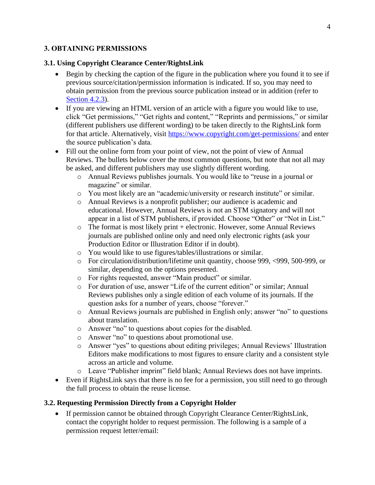# <span id="page-3-0"></span>**3. OBTAINING PERMISSIONS**

#### <span id="page-3-1"></span>**3.1. Using Copyright Clearance Center/RightsLink**

- Begin by checking the caption of the figure in the publication where you found it to see if previous source/citation/permission information is indicated. If so, you may need to obtain permission from the previous source publication instead or in addition (refer to [Section 4.2.3\)](#page-7-0).
- If you are viewing an HTML version of an article with a figure you would like to use, click "Get permissions," "Get rights and content," "Reprints and permissions," or similar (different publishers use different wording) to be taken directly to the RightsLink form for that article. Alternatively, visit<https://www.copyright.com/get-permissions/> and enter the source publication's data.
- Fill out the online form from your point of view, not the point of view of Annual Reviews. The bullets below cover the most common questions, but note that not all may be asked, and different publishers may use slightly different wording.
	- o Annual Reviews publishes journals. You would like to "reuse in a journal or magazine" or similar.
	- o You most likely are an "academic/university or research institute" or similar.
	- o Annual Reviews is a nonprofit publisher; our audience is academic and educational. However, Annual Reviews is not an STM signatory and will not appear in a list of STM publishers, if provided. Choose "Other" or "Not in List."
	- $\circ$  The format is most likely print + electronic. However, some Annual Reviews journals are published online only and need only electronic rights (ask your Production Editor or Illustration Editor if in doubt).
	- o You would like to use figures/tables/illustrations or similar.
	- o For circulation/distribution/lifetime unit quantity, choose 999, <999, 500-999, or similar, depending on the options presented.
	- o For rights requested, answer "Main product" or similar.
	- o For duration of use, answer "Life of the current edition" or similar; Annual Reviews publishes only a single edition of each volume of its journals. If the question asks for a number of years, choose "forever."
	- o Annual Reviews journals are published in English only; answer "no" to questions about translation.
	- o Answer "no" to questions about copies for the disabled.
	- o Answer "no" to questions about promotional use.
	- o Answer "yes" to questions about editing privileges; Annual Reviews' Illustration Editors make modifications to most figures to ensure clarity and a consistent style across an article and volume.
	- o Leave "Publisher imprint" field blank; Annual Reviews does not have imprints.
- Even if RightsLink says that there is no fee for a permission, you still need to go through the full process to obtain the reuse license.

#### <span id="page-3-2"></span>**3.2. Requesting Permission Directly from a Copyright Holder**

• If permission cannot be obtained through Copyright Clearance Center/RightsLink, contact the copyright holder to request permission. The following is a sample of a permission request letter/email: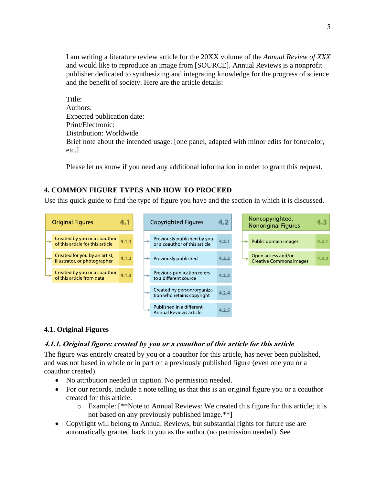I am writing a literature review article for the 20XX volume of the *Annual Review of XXX*  and would like to reproduce an image from [SOURCE]. Annual Reviews is a nonprofit publisher dedicated to synthesizing and integrating knowledge for the progress of science and the benefit of society. Here are the article details:

Title: Authors: Expected publication date: Print/Electronic: Distribution: Worldwide Brief note about the intended usage: [one panel, adapted with minor edits for font/color, etc.]

Please let us know if you need any additional information in order to grant this request.

# <span id="page-4-0"></span>**4. COMMON FIGURE TYPES AND HOW TO PROCEED**

Use this quick guide to find the type of figure you have and the section in which it is discussed.



# <span id="page-4-1"></span>**4.1. Original Figures**

#### <span id="page-4-2"></span>**4.1.1. Original figure: created by you or a coauthor of this article for this article**

The figure was entirely created by you or a coauthor for this article, has never been published, and was not based in whole or in part on a previously published figure (even one you or a coauthor created).

- No attribution needed in caption. No permission needed.
- For our records, include a note telling us that this is an original figure you or a coauthor created for this article.
	- o Example: [\*\*Note to Annual Reviews: We created this figure for this article; it is not based on any previously published image.\*\*]
- Copyright will belong to Annual Reviews, but substantial rights for future use are automatically granted back to you as the author (no permission needed). See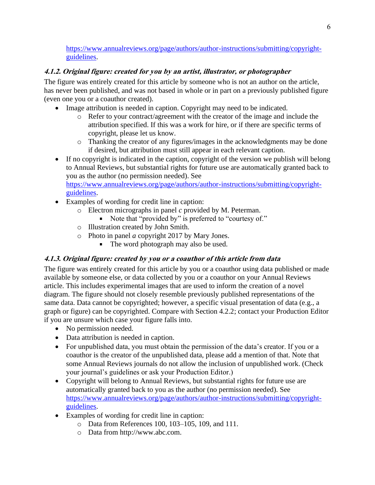[https://www.annualreviews.org/page/authors/author-instructions/submitting/copyright](https://www.annualreviews.org/page/authors/author-instructions/submitting/copyright-guidelines)[guidelines.](https://www.annualreviews.org/page/authors/author-instructions/submitting/copyright-guidelines)

# <span id="page-5-0"></span>**4.1.2. Original figure: created for you by an artist, illustrator, or photographer**

The figure was entirely created for this article by someone who is not an author on the article, has never been published, and was not based in whole or in part on a previously published figure (even one you or a coauthor created).

- Image attribution is needed in caption. Copyright may need to be indicated.
	- o Refer to your contract/agreement with the creator of the image and include the attribution specified. If this was a work for hire, or if there are specific terms of copyright, please let us know.
	- o Thanking the creator of any figures/images in the acknowledgments may be done if desired, but attribution must still appear in each relevant caption.
- If no copyright is indicated in the caption, copyright of the version we publish will belong to Annual Reviews, but substantial rights for future use are automatically granted back to you as the author (no permission needed). See

[https://www.annualreviews.org/page/authors/author-instructions/submitting/copyright](https://www.annualreviews.org/page/authors/author-instructions/submitting/copyright-guidelines)[guidelines.](https://www.annualreviews.org/page/authors/author-instructions/submitting/copyright-guidelines)

- Examples of wording for credit line in caption:
	- o Electron micrographs in panel *c* provided by M. Peterman.
		- Note that "provided by" is preferred to "courtesy of."
	- o Illustration created by John Smith.
	- o Photo in panel *a* copyright 2017 by Mary Jones.
		- The word photograph may also be used.

# <span id="page-5-1"></span>**4.1.3. Original figure: created by you or a coauthor of this article from data**

The figure was entirely created for this article by you or a coauthor using data published or made available by someone else, or data collected by you or a coauthor on your Annual Reviews article. This includes experimental images that are used to inform the creation of a novel diagram. The figure should not closely resemble previously published representations of the same data. Data cannot be copyrighted; however, a specific visual presentation of data (e.g., a graph or figure) can be copyrighted. Compare with Section 4.2.2; contact your Production Editor if you are unsure which case your figure falls into.

- No permission needed.
- Data attribution is needed in caption.
- For unpublished data, you must obtain the permission of the data's creator. If you or a coauthor is the creator of the unpublished data, please add a mention of that. Note that some Annual Reviews journals do not allow the inclusion of unpublished work. (Check your journal's guidelines or ask your Production Editor.)
- Copyright will belong to Annual Reviews, but substantial rights for future use are automatically granted back to you as the author (no permission needed). See [https://www.annualreviews.org/page/authors/author-instructions/submitting/copyright](https://www.annualreviews.org/page/authors/author-instructions/submitting/copyright-guidelines)[guidelines.](https://www.annualreviews.org/page/authors/author-instructions/submitting/copyright-guidelines)
- Examples of wording for credit line in caption:
	- o Data from References 100, 103–105, 109, and 111.
	- o Data from http://www.abc.com.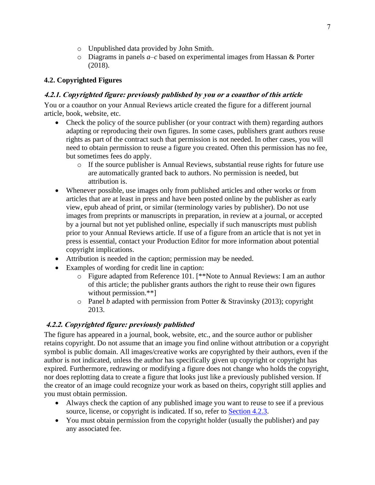- o Unpublished data provided by John Smith.
- o Diagrams in panels *a*–*c* based on experimental images from Hassan & Porter (2018).

# <span id="page-6-0"></span>**4.2. Copyrighted Figures**

# <span id="page-6-1"></span>**4.2.1. Copyrighted figure: previously published by you or a coauthor of this article**

You or a coauthor on your Annual Reviews article created the figure for a different journal article, book, website, etc.

- Check the policy of the source publisher (or your contract with them) regarding authors adapting or reproducing their own figures. In some cases, publishers grant authors reuse rights as part of the contract such that permission is not needed. In other cases, you will need to obtain permission to reuse a figure you created. Often this permission has no fee, but sometimes fees do apply.
	- $\circ$  If the source publisher is Annual Reviews, substantial reuse rights for future use are automatically granted back to authors. No permission is needed, but attribution is.
- Whenever possible, use images only from published articles and other works or from articles that are at least in press and have been posted online by the publisher as early view, epub ahead of print, or similar (terminology varies by publisher). Do not use images from preprints or manuscripts in preparation, in review at a journal, or accepted by a journal but not yet published online, especially if such manuscripts must publish prior to your Annual Reviews article. If use of a figure from an article that is not yet in press is essential, contact your Production Editor for more information about potential copyright implications.
- Attribution is needed in the caption; permission may be needed.
- Examples of wording for credit line in caption:
	- o Figure adapted from Reference 101. [\*\*Note to Annual Reviews: I am an author of this article; the publisher grants authors the right to reuse their own figures without permission.\*\*]
	- o Panel *b* adapted with permission from Potter & Stravinsky (2013); copyright 2013.

# <span id="page-6-2"></span>**4.2.2. Copyrighted figure: previously published**

The figure has appeared in a journal, book, website, etc., and the source author or publisher retains copyright. Do not assume that an image you find online without attribution or a copyright symbol is public domain. All images/creative works are copyrighted by their authors, even if the author is not indicated, unless the author has specifically given up copyright or copyright has expired. Furthermore, redrawing or modifying a figure does not change who holds the copyright, nor does replotting data to create a figure that looks just like a previously published version. If the creator of an image could recognize your work as based on theirs, copyright still applies and you must obtain permission.

- Always check the caption of any published image you want to reuse to see if a previous source, license, or copyright is indicated. If so, refer to [Section 4.2.3.](#page-7-0)
- You must obtain permission from the copyright holder (usually the publisher) and pay any associated fee.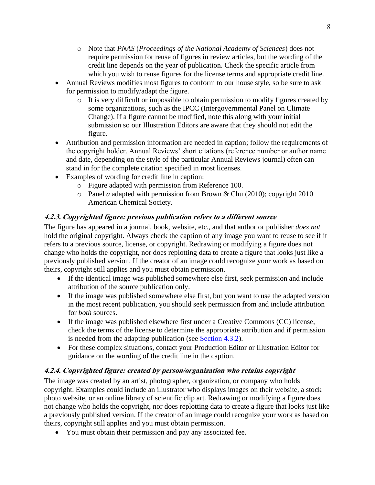- o Note that *PNAS* (*Proceedings of the National Academy of Sciences*) does not require permission for reuse of figures in review articles, but the wording of the credit line depends on the year of publication. Check the specific article from which you wish to reuse figures for the license terms and appropriate credit line.
- Annual Reviews modifies most figures to conform to our house style, so be sure to ask for permission to modify/adapt the figure.
	- o It is very difficult or impossible to obtain permission to modify figures created by some organizations, such as the IPCC (Intergovernmental Panel on Climate Change). If a figure cannot be modified, note this along with your initial submission so our Illustration Editors are aware that they should not edit the figure.
- Attribution and permission information are needed in caption; follow the requirements of the copyright holder. Annual Reviews' short citations (reference number or author name and date, depending on the style of the particular Annual Reviews journal) often can stand in for the complete citation specified in most licenses.
- Examples of wording for credit line in caption:
	- o Figure adapted with permission from Reference 100.
	- o Panel *a* adapted with permission from Brown & Chu (2010); copyright 2010 American Chemical Society.

# <span id="page-7-0"></span>**4.2.3. Copyrighted figure: previous publication refers to a different source**

The figure has appeared in a journal, book, website, etc., and that author or publisher *does not* hold the original copyright. Always check the caption of any image you want to reuse to see if it refers to a previous source, license, or copyright. Redrawing or modifying a figure does not change who holds the copyright, nor does replotting data to create a figure that looks just like a previously published version. If the creator of an image could recognize your work as based on theirs, copyright still applies and you must obtain permission.

- If the identical image was published somewhere else first, seek permission and include attribution of the source publication only.
- If the image was published somewhere else first, but you want to use the adapted version in the most recent publication, you should seek permission from and include attribution for *both* sources.
- If the image was published elsewhere first under a Creative Commons (CC) license, check the terms of the license to determine the appropriate attribution and if permission is needed from the adapting publication (see [Section 4.3.2\)](#page-9-0).
- For these complex situations, contact your Production Editor or Illustration Editor for guidance on the wording of the credit line in the caption.

# <span id="page-7-1"></span>**4.2.4. Copyrighted figure: created by person/organization who retains copyright**

The image was created by an artist, photographer, organization, or company who holds copyright. Examples could include an illustrator who displays images on their website, a stock photo website, or an online library of scientific clip art. Redrawing or modifying a figure does not change who holds the copyright, nor does replotting data to create a figure that looks just like a previously published version. If the creator of an image could recognize your work as based on theirs, copyright still applies and you must obtain permission.

• You must obtain their permission and pay any associated fee.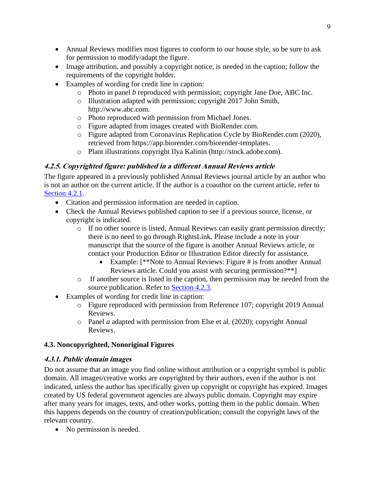- Annual Reviews modifies most figures to conform to our house style, so be sure to ask for permission to modify/adapt the figure.
- Image attribution, and possibly a copyright notice, is needed in the caption; follow the requirements of the copyright holder.
- Examples of wording for credit line in caption:
	- o Photo in panel *b* reproduced with permission; copyright Jane Doe, ABC Inc.
	- o Illustration adapted with permission; copyright 2017 John Smith, http://www.abc.com.
	- o Photo reproduced with permission from Michael Jones.
	- o Figure adapted from images created with BioRender.com.
	- o Figure adapted from Coronavirus Replication Cycle by BioRender.com (2020), retrieved from https://app.biorender.com/biorender-templates.
	- o Plant illustrations copyright Ilya Kalinin (http://stock.adobe.com).

# <span id="page-8-0"></span>**4.2.5. Copyrighted figure: published in a different Annual Reviews article**

The figure appeared in a previously published Annual Reviews journal article by an author who is not an author on the current article. If the author is a coauthor on the current article, refer to Section 4.2.1.

- Citation and permission information are needed in caption.
- Check the Annual Reviews published caption to see if a previous source, license, or copyright is indicated.
	- o If no other source is listed, Annual Reviews can easily grant permission directly; there is no need to go through RightsLink. Please include a note in your manuscript that the source of the figure is another Annual Reviews article, or contact your Production Editor or Illustration Editor directly for assistance.
		- Example: [\*\*Note to Annual Reviews: Figure # is from another Annual Reviews article. Could you assist with securing permission?\*\*]
	- o If another source is listed in the caption, then permission may be needed from the source publication. Refer to Section 4.2.3.
- Examples of wording for credit line in caption:
	- o Figure reproduced with permission from Reference 107; copyright 2019 Annual Reviews.
	- o Panel *a* adapted with permission from Else et al. (2020); copyright Annual Reviews.

# <span id="page-8-1"></span>**4.3. Noncopyrighted, Nonoriginal Figures**

# <span id="page-8-2"></span>**4.3.1. Public domain images**

Do not assume that an image you find online without attribution or a copyright symbol is public domain. All images/creative works are copyrighted by their authors, even if the author is not indicated, unless the author has specifically given up copyright or copyright has expired. Images created by US federal government agencies are always public domain. Copyright may expire after many years for images, texts, and other works, putting them in the public domain. When this happens depends on the country of creation/publication; consult the copyright laws of the relevant country.

• No permission is needed.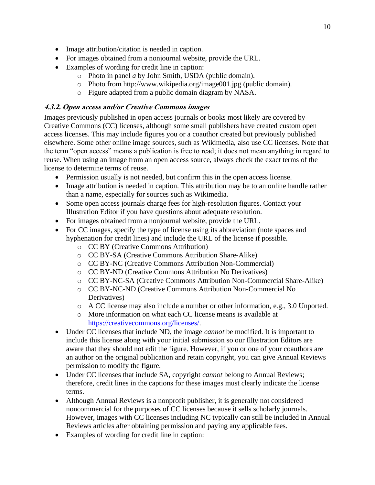- Image attribution/citation is needed in caption.
- For images obtained from a nonjournal website, provide the URL.
- Examples of wording for credit line in caption:
	- o Photo in panel *a* by John Smith, USDA (public domain).
	- o Photo from http://www.wikipedia.org/image001.jpg (public domain).
	- o Figure adapted from a public domain diagram by NASA.

# <span id="page-9-0"></span>**4.3.2. Open access and/or Creative Commons images**

Images previously published in open access journals or books most likely are covered by Creative Commons (CC) licenses, although some small publishers have created custom open access licenses. This may include figures you or a coauthor created but previously published elsewhere. Some other online image sources, such as Wikimedia, also use CC licenses. Note that the term "open access" means a publication is free to read; it does not mean anything in regard to reuse. When using an image from an open access source, always check the exact terms of the license to determine terms of reuse.

- Permission usually is not needed, but confirm this in the open access license.
- Image attribution is needed in caption. This attribution may be to an online handle rather than a name, especially for sources such as Wikimedia.
- Some open access journals charge fees for high-resolution figures. Contact your Illustration Editor if you have questions about adequate resolution.
- For images obtained from a nonjournal website, provide the URL.
- For CC images, specify the type of license using its abbreviation (note spaces and hyphenation for credit lines) and include the URL of the license if possible.
	- o CC BY (Creative Commons Attribution)
	- o CC BY-SA (Creative Commons Attribution Share-Alike)
	- o CC BY-NC (Creative Commons Attribution Non-Commercial)
	- o CC BY-ND (Creative Commons Attribution No Derivatives)
	- o CC BY-NC-SA (Creative Commons Attribution Non-Commercial Share-Alike)
	- o CC BY-NC-ND (Creative Commons Attribution Non-Commercial No Derivatives)
	- o A CC license may also include a number or other information, e.g., 3.0 Unported.
	- o More information on what each CC license means is available at https://creativecommons.org/licenses/.
- Under CC licenses that include ND, the image *cannot* be modified. It is important to include this license along with your initial submission so our Illustration Editors are aware that they should not edit the figure. However, if you or one of your coauthors are an author on the original publication and retain copyright, you can give Annual Reviews permission to modify the figure.
- Under CC licenses that include SA, copyright *cannot* belong to Annual Reviews; therefore, credit lines in the captions for these images must clearly indicate the license terms.
- Although Annual Reviews is a nonprofit publisher, it is generally not considered noncommercial for the purposes of CC licenses because it sells scholarly journals. However, images with CC licenses including NC typically can still be included in Annual Reviews articles after obtaining permission and paying any applicable fees.
- Examples of wording for credit line in caption: